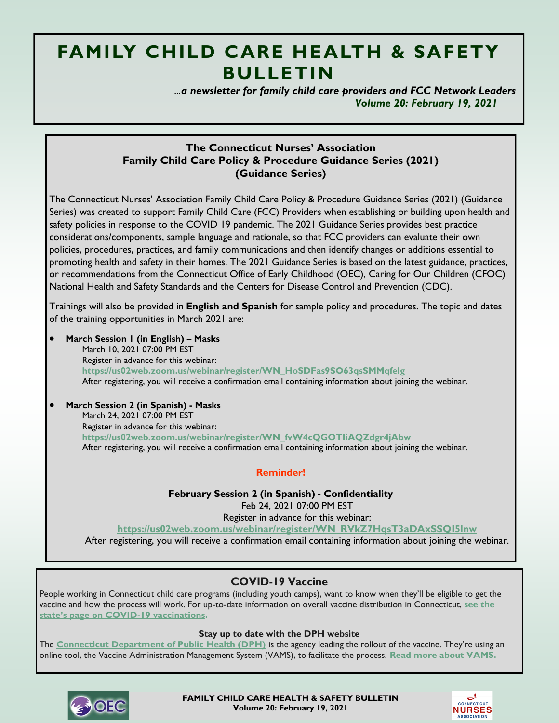## **FAMILY CHILD CARE HEALTH & SAFETY BULLETIN**

 *...a newsletter for family child care providers and FCC Network Leaders Volume 20: February 19, 2021*

## **The Connecticut Nurses' Association Family Child Care Policy & Procedure Guidance Series (2021) (Guidance Series)**

The Connecticut Nurses' Association Family Child Care Policy & Procedure Guidance Series (2021) (Guidance Series) was created to support Family Child Care (FCC) Providers when establishing or building upon health and safety policies in response to the COVID 19 pandemic. The 2021 Guidance Series provides best practice considerations/components, sample language and rationale, so that FCC providers can evaluate their own policies, procedures, practices, and family communications and then identify changes or additions essential to promoting health and safety in their homes. The 2021 Guidance Series is based on the latest guidance, practices, or recommendations from the Connecticut Office of Early Childhood (OEC), Caring for Our Children (CFOC) National Health and Safety Standards and the Centers for Disease Control and Prevention (CDC).

Trainings will also be provided in **English and Spanish** for sample policy and procedures. The topic and dates of the training opportunities in March 2021 are:

• **March Session 1 (in English) – Masks** March 10, 2021 07:00 PM EST Register in advance for this webinar: **[https://us02web.zoom.us/webinar/register/WN\\_HoSDFas9SO63qsSMMqfelg](https://us02web.zoom.us/webinar/register/WN_HoSDFas9SO63qsSMMqfelg)** After registering, you will receive a confirmation email containing information about joining the webinar.

• **March Session 2 (in Spanish) - Masks** March 24, 2021 07:00 PM EST Register in advance for this webinar: **[https://us02web.zoom.us/webinar/register/WN\\_fvW4cQGOTIiAQZdgr4jAbw](https://us02web.zoom.us/webinar/register/WN_fvW4cQGOTIiAQZdgr4jAbw)** After registering, you will receive a confirmation email containing information about joining the webinar.

## **Reminder!**

**February Session 2 (in Spanish) - Confidentiality** Feb 24, 2021 07:00 PM EST

Register in advance for this webinar:

**[https://us02web.zoom.us/webinar/register/WN\\_RVkZ7HqsT3aDAxSSQI5lnw](https://us02web.zoom.us/webinar/register/WN_RVkZ7HqsT3aDAxSSQI5lnw)**

After registering, you will receive a confirmation email containing information about joining the webinar.

## **COVID-19 Vaccine**

People working in Connecticut child care programs (including youth camps), want to know when they'll be eligible to get the vaccine and how the process will work. For up-to-date information on overall vaccine distribution in Connecticut, **[see the](https://portal.ct.gov/Coronavirus/covid-19%20vaccinations)  [state's page on COVID](https://portal.ct.gov/Coronavirus/covid-19%20vaccinations)-19 vaccinations.**

## **Stay up to date with the DPH website**

The **[Connecticut Department of Public Health \(DPH\)](https://portal.ct.gov/dph)** is the agency leading the rollout of the vaccine. They're using an online tool, the Vaccine Administration Management System (VAMS), to facilitate the process. **[Read more about VAMS.](https://portal.ct.gov/-/media/Departments-and-Agencies/DPH/dph/infectious_diseases/immunization/VAMS-Training-materials/VAMS-Info-Sheet-for-CT-v10-11_20_20.pdf)**



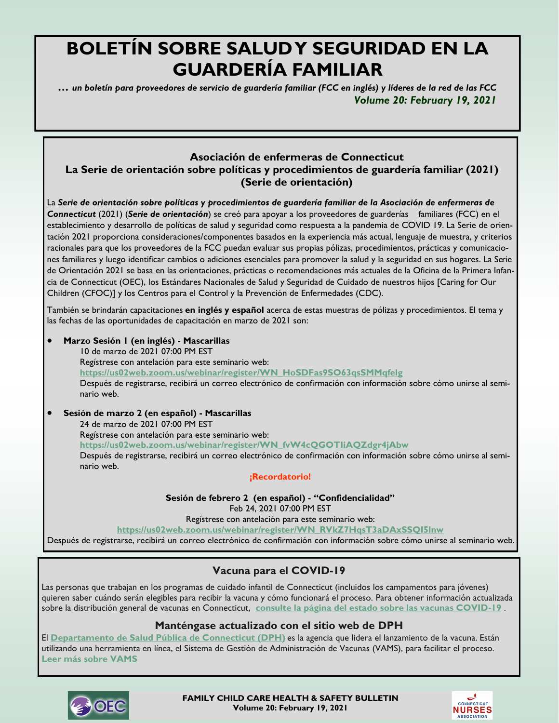# **BOLETÍN SOBRE SALUD Y SEGURIDAD EN LA GUARDERÍA FAMILIAR**

*… un boletín para proveedores de servicio de guardería familiar (FCC en inglés) y líderes de la red de las FCC Volume 20: February 19, 2021*

## **Asociación de enfermeras de Connecticut La Serie de orientación sobre políticas y procedimientos de guardería familiar (2021) (Serie de orientación)**

La *Serie de orientación sobre políticas y procedimientos de guardería familiar de la Asociación de enfermeras de Connecticut* (2021) (*Serie de orientación*) se creó para apoyar a los proveedores de guarderías familiares (FCC) en el establecimiento y desarrollo de políticas de salud y seguridad como respuesta a la pandemia de COVID 19. La Serie de orientación 2021 proporciona consideraciones/componentes basados en la experiencia más actual, lenguaje de muestra, y criterios racionales para que los proveedores de la FCC puedan evaluar sus propias pólizas, procedimientos, prácticas y comunicaciones familiares y luego identificar cambios o adiciones esenciales para promover la salud y la seguridad en sus hogares. La Serie de Orientación 2021 se basa en las orientaciones, prácticas o recomendaciones más actuales de la Oficina de la Primera Infancia de Connecticut (OEC), los Estándares Nacionales de Salud y Seguridad de Cuidado de nuestros hijos [Caring for Our Children (CFOC)] y los Centros para el Control y la Prevención de Enfermedades (CDC).

También se brindarán capacitaciones **en inglés y español** acerca de estas muestras de pólizas y procedimientos. El tema y las fechas de las oportunidades de capacitación en marzo de 2021 son:

## • **Marzo Sesión 1 (en inglés) - Mascarillas**

10 de marzo de 2021 07:00 PM EST Regístrese con antelación para este seminario web: **[https://us02web.zoom.us/webinar/register/WN\\_HoSDFas9SO63qsSMMqfelg](https://us02web.zoom.us/webinar/register/WN_HoSDFas9SO63qsSMMqfelg)** Después de registrarse, recibirá un correo electrónico de confirmación con información sobre cómo unirse al seminario web.

### • **Sesión de marzo 2 (en español) - Mascarillas** 24 de marzo de 2021 07:00 PM EST Regístrese con antelación para este seminario web: **[https://us02web.zoom.us/webinar/register/WN\\_fvW4cQGOTIiAQZdgr4jAbw](https://us02web.zoom.us/webinar/register/WN_fvW4cQGOTIiAQZdgr4jAbw)** Después de registrarse, recibirá un correo electrónico de confirmación con información sobre cómo unirse al seminario web.

**¡Recordatorio!**

**Sesión de febrero 2 (en español) - "Confidencialidad"** Feb 24, 2021 07:00 PM EST

Regístrese con antelación para este seminario web:

**[https://us02web.zoom.us/webinar/register/WN\\_RVkZ7HqsT3aDAxSSQI5lnw](https://us02web.zoom.us/webinar/register/WN_RVkZ7HqsT3aDAxSSQI5lnw)**

Después de registrarse, recibirá un correo electrónico de confirmación con información sobre cómo unirse al seminario web.

## **Vacuna para el COVID-19**

Las personas que trabajan en los programas de cuidado infantil de Connecticut (incluidos los campamentos para jóvenes) quieren saber cuándo serán elegibles para recibir la vacuna y cómo funcionará el proceso. Para obtener información actualizada sobre la distribución general de vacunas en Connecticut, **[consulte la página del estado sobre las vacunas COVID-19](https://translate.google.com/website?sl=en&tl=es&u=https://portal.ct.gov/Coronavirus/covid-19%2520vaccinations)** .

## **Manténgase actualizado con el sitio web de DPH**

El **[Departamento de Salud Pública de Connecticut \(DPH\)](https://translate.google.com/website?sl=en&tl=es&u=https://portal.ct.gov/dph)** es la agencia que lidera el lanzamiento de la vacuna. Están utilizando una herramienta en línea, el Sistema de Gestión de Administración de Vacunas (VAMS), para facilitar el proceso. **[Leer más sobre VAMS](https://translate.google.com/website?sl=en&tl=es&u=https://portal.ct.gov/-/media/Departments-and-Agencies/DPH/dph/infectious_diseases/immunization/VAMS-Training-materials/VAMS-Info-Sheet-for-CT-v10-11_20_20.pdf)**



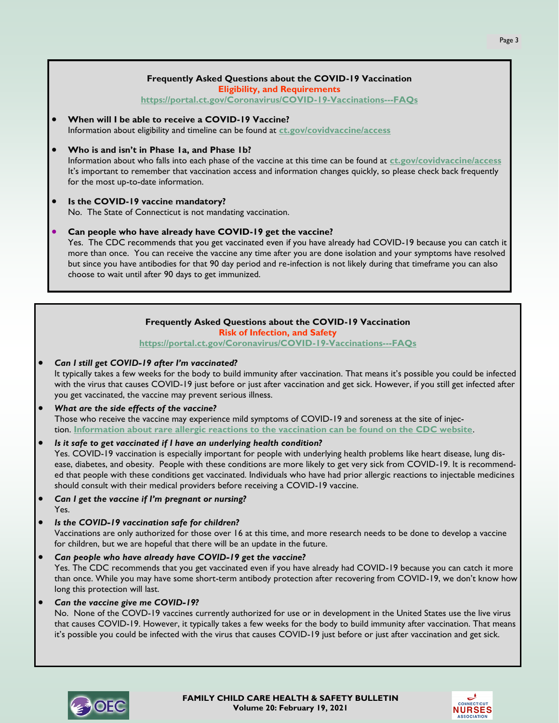## **Frequently Asked Questions about the COVID-19 Vaccination Eligibility, and Requirements <https://portal.ct.gov/Coronavirus/COVID-19-Vaccinations---FAQs>** • **When will I be able to receive a COVID-19 Vaccine?** Information about eligibility and timeline can be found at **[ct.gov/covidvaccine/access](https://portal.ct.gov/Coronavirus/COVID-19-Vaccination---Phases)** • **Who is and isn't in Phase 1a, and Phase 1b?** Information about who falls into each phase of the vaccine at this time can be found at **[ct.gov/covidvaccine/access](https://portal.ct.gov/Coronavirus/COVID-19-Vaccination---Phases)** It's important to remember that vaccination access and information changes quickly, so please check back frequently for the most up-to-date information. • **Is the COVID-19 vaccine mandatory?** No. The State of Connecticut is not mandating vaccination. • **Can people who have already have COVID-19 get the vaccine?** Yes. The CDC recommends that you get vaccinated even if you have already had COVID-19 because you can catch it more than once. You can receive the vaccine any time after you are done isolation and your symptoms have resolved but since you have antibodies for that 90 day period and re-infection is not likely during that timeframe you can also choose to wait until after 90 days to get immunized.

## **Frequently Asked Questions about the COVID-19 Vaccination**

#### **Risk of Infection, and Safety**

**<https://portal.ct.gov/Coronavirus/COVID-19-Vaccinations---FAQs>**

- *Can I still get COVID-19 after I'm vaccinated?* It typically takes a few weeks for the body to build immunity after vaccination. That means it's possible you could be infected with the virus that causes COVID-19 just before or just after vaccination and get sick. However, if you still get infected after you get vaccinated, the vaccine may prevent serious illness.
- *What are the side effects of the vaccine?* Those who receive the vaccine may experience mild symptoms of COVID-19 and soreness at the site of injection. **[Information about rare allergic reactions to the vaccination can be found on the CDC website](https://www.cdc.gov/coronavirus/2019-ncov/vaccines/safety/allergic-reaction.html)**.
- *Is it safe to get vaccinated if I have an underlying health condition?* Yes. COVID-19 vaccination is especially important for people with underlying health problems like heart disease, lung disease, diabetes, and obesity. People with these conditions are more likely to get very sick from COVID-19. It is recommended that people with these conditions get vaccinated. Individuals who have had prior allergic reactions to injectable medicines should consult with their medical providers before receiving a COVID-19 vaccine.
- *Can I get the vaccine if I'm pregnant or nursing?* Yes.
- *Is the COVID-19 vaccination safe for children?* Vaccinations are only authorized for those over 16 at this time, and more research needs to be done to develop a vaccine for children, but we are hopeful that there will be an update in the future.
- *Can people who have already have COVID-19 get the vaccine?* Yes. The CDC recommends that you get vaccinated even if you have already had COVID-19 because you can catch it more than once. While you may have some short-term antibody protection after recovering from COVID-19, we don't know how long this protection will last.

• *Can the vaccine give me COVID-19?* No. None of the COVD-19 vaccines currently authorized for use or in development in the United States use the live virus that causes COVID-19. However, it typically takes a few weeks for the body to build immunity after vaccination. That means it's possible you could be infected with the virus that causes COVID-19 just before or just after vaccination and get sick.